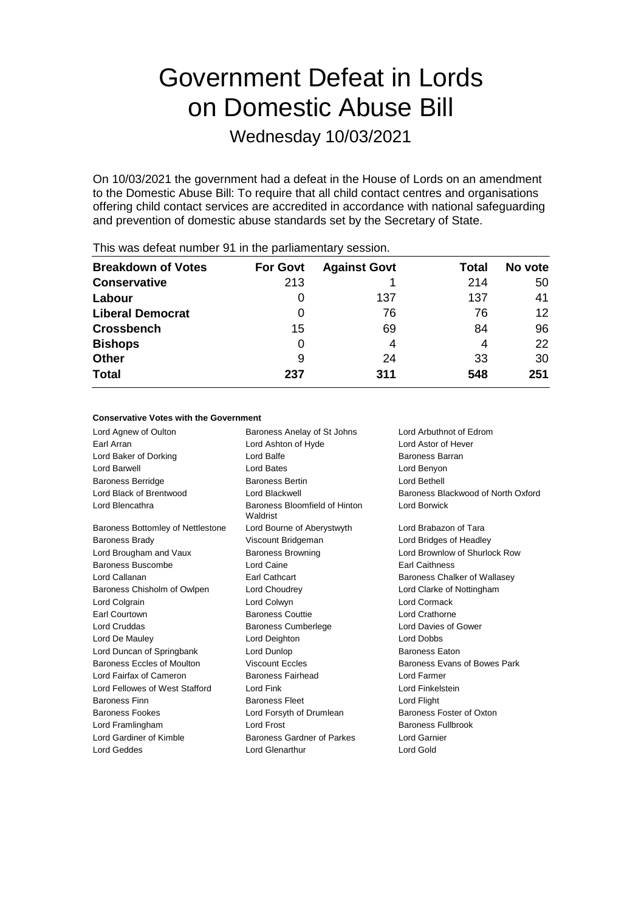# Government Defeat in Lords on Domestic Abuse Bill

Wednesday 10/03/2021

On 10/03/2021 the government had a defeat in the House of Lords on an amendment to the Domestic Abuse Bill: To require that all child contact centres and organisations offering child contact services are accredited in accordance with national safeguarding and prevention of domestic abuse standards set by the Secretary of State.

| <b>For Govt</b> | <b>Against Govt</b> | Total | No vote |
|-----------------|---------------------|-------|---------|
| 213             |                     | 214   | 50      |
| 0               | 137                 | 137   | 41      |
| 0               | 76                  | 76    | 12      |
| 15              | 69                  | 84    | 96      |
| 0               | 4                   | 4     | 22      |
| 9               | 24                  | 33    | 30      |
| 237             | 311                 | 548   | 251     |
|                 |                     |       |         |

This was defeat number 91 in the parliamentary session.

### **Conservative Votes with the Government**

Lord Agnew of Oulton Baroness Anelay of St Johns Lord Arbuthnot of Edrom Earl Arran Lord Ashton of Hyde Lord Astor of Hever Lord Baker of Dorking **Lord Balfe Lord Balfe** Baroness Barran Lord Barwell Lord Bates Lord Benyon Baroness Berridge **Baroness Bertin** Baroness Bertin **Lord Bethell** Lord Black of Brentwood Lord Blackwell Baroness Blackwood of North Oxford Lord Blencathra **Baroness Bloomfield of Hinton** Waldrist Lord Borwick Baroness Bottomley of Nettlestone Lord Bourne of Aberystwyth Lord Brabazon of Tara Baroness Brady Viscount Bridgeman Lord Bridges of Headley Lord Brougham and Vaux Baroness Browning Lord Brownlow of Shurlock Row Baroness Buscombe Lord Caine Earl Caithness Lord Callanan **Earl Cathcart Baroness Chalker of Wallasey** Earl Cathcart **Baroness Chalker of Wallasey** Baroness Chisholm of Owlpen Lord Choudrey Lord Clarke of Nottingham Lord Colgrain Lord Colwyn Lord Cormack Earl Courtown **Baroness Couttie Lord Crathorne** Lord Cruddas Baroness Cumberlege Lord Davies of Gower Lord De Mauley Lord Deighton Lord Dobbs Lord Duncan of Springbank Lord Dunlop **Baroness Eaton** Baroness Eccles of Moulton **Viscount Eccles** Baroness Evans of Bowes Park Lord Fairfax of Cameron Baroness Fairhead Lord Farmer Lord Fellowes of West Stafford Lord Fink Lord Fink Lord Finkelstein Baroness Finn **Baroness Fleet** Lord Flight Baroness Fookes **Lord Forsyth of Drumlean** Baroness Foster of Oxton Lord Framlingham **Lord Frost** Baroness Fullbrook Lord Gardiner of Kimble Baroness Gardner of Parkes Lord Garnier Lord Geddes Lord Glenarthur Lord Gold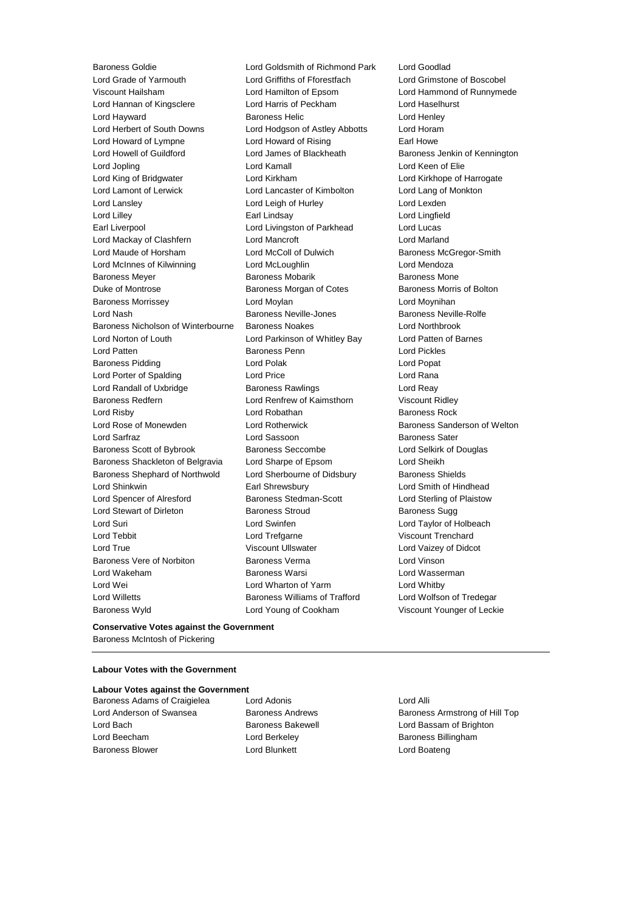Baroness Goldie Lord Goldsmith of Richmond Park Lord Goodlad Lord Grade of Yarmouth Lord Griffiths of Fforestfach Lord Grimstone of Boscobel Viscount Hailsham Lord Hamilton of Epsom Lord Hammond of Runnymede Lord Hannan of Kingsclere Lord Harris of Peckham Lord Haselhurst Lord Hayward Baroness Helic Lord Henley Lord Herbert of South Downs Lord Hodgson of Astley Abbotts Lord Horam Lord Howard of Lympne Lord Howard of Rising Earl Howe Lord Howell of Guildford **Lord James of Blackheath** Baroness Jenkin of Kennington Lord Jopling Lord Kamall Lord Keen of Elie Lord King of Bridgwater Lord Kirkham Lord Kirkhope of Harrogate Lord Lamont of Lerwick Lord Lancaster of Kimbolton Lord Lang of Monkton Lord Lansley **Lord Leigh of Hurley** Lord Lexden Lord Lilley Earl Lindsay Lord Lingfield Earl Liverpool Lord Livingston of Parkhead Lord Lucas Lord Mackay of Clashfern Lord Mancroft Lord Marland Lord Maude of Horsham Lord McColl of Dulwich Baroness McGregor-Smith Lord McInnes of Kilwinning Lord McLoughlin Lord Mendoza Baroness Meyer **Baroness Mobarik** Baroness Mobarik Baroness Mone Duke of Montrose Baroness Morgan of Cotes Baroness Morris of Bolton Baroness Morrissey Lord Moylan Lord Moynihan Lord Nash Baroness Neville-Jones Baroness Neville-Rolfe Baroness Nicholson of Winterbourne Baroness Noakes Lord Northbrook Lord Norton of Louth Lord Parkinson of Whitley Bay Lord Patten of Barnes Lord Patten Baroness Penn Lord Pickles Baroness Pidding **Communist Construction** Lord Polak **Lord Popat** Lord Popat Lord Porter of Spalding **Lord Price** Lord Price **Lord Rana** Lord Randall of Uxbridge **Baroness Rawlings Lord Reay** Baroness Redfern Lord Renfrew of Kaimsthorn Viscount Ridley Lord Risby **Lord Robathan** Baroness Rock Lord Rose of Monewden **Lord Rotherwick** Baroness Sanderson of Welton Lord Sarfraz Lord Sassoon Baroness Sater Baroness Scott of Bybrook Baroness Seccombe Lord Selkirk of Douglas Baroness Shackleton of Belgravia Lord Sharpe of Epsom Lord Sheikh Baroness Shephard of Northwold Lord Sherbourne of Didsbury Baroness Shields Lord Shinkwin Earl Shrewsbury Lord Smith of Hindhead Lord Spencer of Alresford Baroness Stedman-Scott Lord Sterling of Plaistow Lord Stewart of Dirleton **Baroness Stroud** Baroness Stroud Baroness Sugg Lord Suri Lord Swinfen Lord Taylor of Holbeach Lord Tebbit **Lord Trefgarne** Construction Construction Construction Construction Construction Construction Const Lord True Viscount Ullswater Lord Vaizey of Didcot Baroness Vere of Norbiton Baroness Verma Lord Vinson Lord Wakeham Baroness Warsi Lord Wasserman Lord Wei Lord Wharton of Yarm Lord Whitby Lord Willetts Baroness Williams of Trafford Lord Wolfson of Tredegar Baroness Wyld Lord Young of Cookham Viscount Younger of Leckie

**Conservative Votes against the Government** Baroness McIntosh of Pickering

# **Labour Votes with the Government**

### **Labour Votes against the Government**

- Lord Beecham **Lord Berkeley Baroness Billingham** Baroness Blower Lord Blunkett Lord Boateng
- Baroness Adams of Craigielea Lord Adonis Lord Alli

Lord Anderson of Swansea **Baroness Andrews** Baroness Andrews Baroness Armstrong of Hill Top Lord Bach **Baroness Bakewell Baroness Bakewell Lord Bassam of Brighton**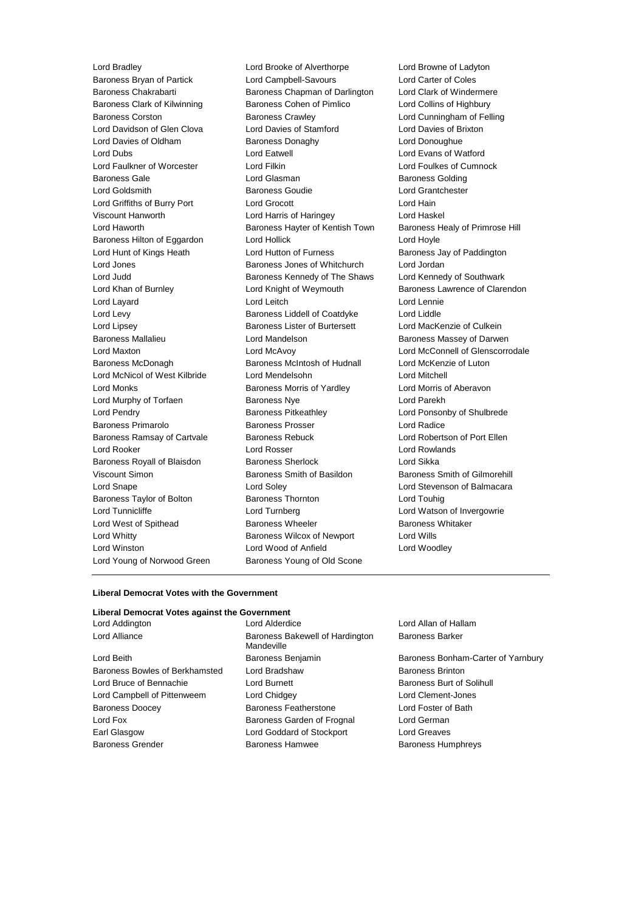Baroness Bryan of Partick Lord Campbell-Savours Lord Carter of Coles Baroness Chakrabarti Baroness Chapman of Darlington Lord Clark of Windermere Baroness Clark of Kilwinning **Baroness Cohen of Pimlico** Lord Collins of Highbury Baroness Corston Baroness Crawley Lord Cunningham of Felling Lord Davidson of Glen Clova Lord Davies of Stamford Lord Davies of Brixton Lord Davies of Oldham Baroness Donaghy Lord Donoughue Lord Dubs<br>
Lord Eatwell Lord Evans of Watford<br>
Lord Eatwell Lord Evans of Cumne<br>
Lord Eatwell Lord Evans of Cumne Lord Faulkner of Worcester **Lord Filkin** Lord Foulkes of Cumnock Baroness Gale **Communist Contract Contract Contract Contract Contract Contract Contract Contract Contract Contract Contract Contract Contract Contract Contract Contract Contract Contract Contract Contract Contract Contract** Lord Goldsmith Baroness Goudie Lord Grantchester Lord Griffiths of Burry Port Lord Grocott Lord Hain Viscount Hanworth Lord Harris of Haringey Lord Haskel Lord Haworth Baroness Hayter of Kentish Town Baroness Healy of Primrose Hill Baroness Hilton of Eggardon Lord Hollick Lord Hoyle Lord Hunt of Kings Heath Lord Hutton of Furness **Baroness Jay of Paddington** Lord Jones Baroness Jones of Whitchurch Lord Jordan Lord Judd **Baroness Kennedy of The Shaws** Lord Kennedy of Southwark Lord Khan of Burnley **Lord Knight of Weymouth** Baroness Lawrence of Clarendon Lord Layard Lord Leitch Lord Lennie Lord Levy Baroness Liddell of Coatdyke Lord Liddle Lord Lipsey Baroness Lister of Burtersett Lord MacKenzie of Culkein Baroness Mallalieu **Baroness Mallalieu** Lord Mandelson **Baroness Massey of Darwen** Lord Maxton Lord McAvoy Lord McConnell of Glenscorrodale Baroness McDonagh Baroness McIntosh of Hudnall Lord McKenzie of Luton Lord McNicol of West Kilbride Lord Mendelsohn Lord Mitchell Lord Monks Baroness Morris of Yardley Lord Morris of Aberavon Lord Murphy of Torfaen Baroness Nye Lord Parekh Lord Pendry Baroness Pitkeathley Lord Ponsonby of Shulbrede Baroness Primarolo Baroness Prosser Lord Radice Baroness Ramsay of Cartvale **Baroness Rebuck** Lord Robertson of Port Ellen Lord Rooker Lord Rosser Lord Rowlands Baroness Royall of Blaisdon Baroness Sherlock Lord Sikka Viscount Simon **Baroness Smith of Basildon** Baroness Smith of Gilmorehill Lord Snape Lord Soley Lord Stevenson of Balmacara Baroness Taylor of Bolton Baroness Thornton Lord Touhig Lord Tunnicliffe Lord Turnberg Lord Watson of Invergowrie Lord West of Spithead **Baroness Wheeler** Baroness Wheeler Baroness Whitaker Lord Whitty **Baroness Wilcox of Newport** Lord Wills Lord Winston Lord Wood of Anfield Lord Woodley Lord Young of Norwood Green Baroness Young of Old Scone

Lord Bradley Lord Brooke of Alverthorpe Lord Browne of Ladyton

### **Liberal Democrat Votes with the Government**

### **Liberal Democrat Votes against the Government**

| в   |
|-----|
| M   |
| в   |
| L)  |
| L)  |
| L)  |
| В   |
| В   |
| ، ا |
| в   |
|     |

Lord Addington Lord Alderdice Lord Allan of Hallam laroness Bakewell of Hardington **Mandeville** Raroness Benjamin **Baroness Bonham-Carter of Yarnbury** ord Bradshaw Baroness Brinton Lord Burnett **Baroness Burt of Solihull** Lord Chidgey **Lord Clement-Jones** Baroness Featherstone **Lord Foster of Bath** Baroness Garden of Frognal **Lord German** ord Goddard of Stockport Lord Greaves Baroness Hamwee Baroness Humphreys

Baroness Barker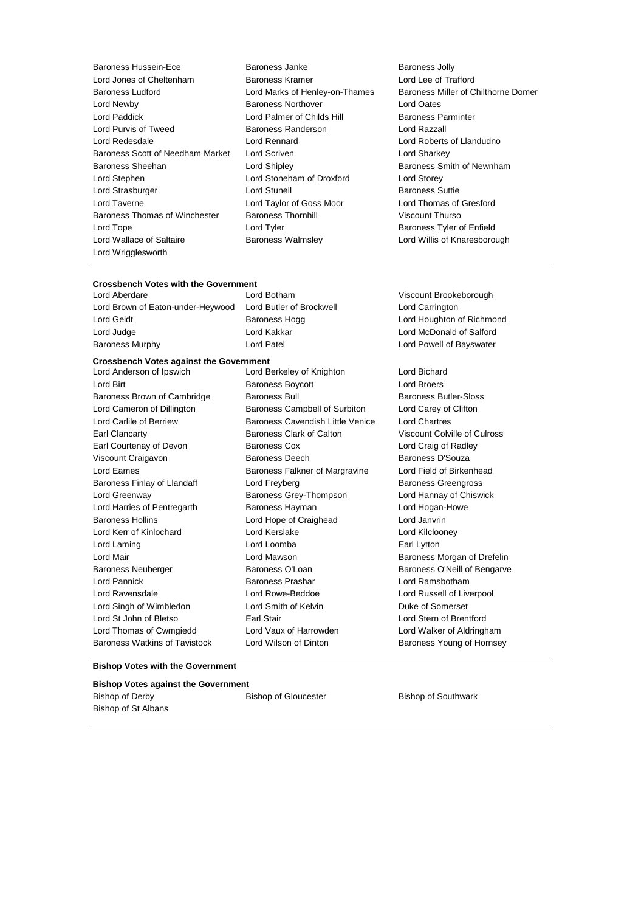Baroness Hussein-Ece **Baroness Janke** Baroness Janke Baroness Jolly Lord Jones of Cheltenham Baroness Kramer Lord Lee of Trafford Lord Newby Baroness Northover Lord Oates Lord Paddick Lord Palmer of Childs Hill Baroness Parminter Lord Purvis of Tweed Baroness Randerson Lord Razzall Lord Redesdale Lord Rennard Lord Roberts of Llandudno Baroness Scott of Needham Market Lord Scriven Lord Sharkey Lord Sharkey Baroness Sheehan **Baroness** Sheehan Lord Shipley **Baroness Smith of Newnham** Lord Stephen Lord Stoneham of Droxford Lord Storey Lord Strasburger Lord Stunell Baroness Suttie Lord Taverne Lord Taylor of Goss Moor Lord Thomas of Gresford Baroness Thomas of Winchester Baroness Thornhill Viscount Thurso Lord Tope **Lord Tyler Community** Lord Tyler **Baroness Tyler of Enfield** Lord Wallace of Saltaire **Baroness Walmsley Lord Willis of Knaresborough** Lord Willis of Knaresborough Lord Wrigglesworth

- 
- Baroness Ludford Lord Marks of Henley-on-Thames Baroness Miller of Chilthorne Domer

# **Crossbench Votes with the Government**

Lord Brown of Eaton-under-Heywood Lord Butler of Brockwell Lord Carrington Lord Geidt **Baroness Hogg Lord Houghton of Richmond** Baroness Hogg Lord Houghton of Richmond Lord Judge Lord Kakkar Lord McDonald of Salford Baroness Murphy Lord Patel Lord Powell of Bayswater

# **Crossbench Votes against the Government**

Lord Berkeley of Knighton Lord Bichard Lord Birt **Baroness Boycott Lord Broers** Boycott **Lord Broers** Baroness Brown of Cambridge Baroness Bull Baroness Butler-Sloss Lord Cameron of Dillington Baroness Campbell of Surbiton Lord Carey of Clifton Lord Carlile of Berriew Baroness Cavendish Little Venice Lord Chartres Earl Clancarty Baroness Clark of Calton Viscount Colville of Culross Earl Courtenay of Devon Baroness Cox Lord Craig of Radley Viscount Craigavon Baroness Deech Baroness D'Souza Lord Eames **Baroness Falkner of Margravine** Lord Field of Birkenhead Baroness Finlay of Llandaff Lord Freyberg Communication Baroness Greengross Lord Greenway Baroness Grey-Thompson Lord Hannay of Chiswick Lord Harries of Pentregarth Baroness Hayman Lord Hogan-Howe Baroness Hollins Lord Hope of Craighead Lord Janvrin Lord Kerr of Kinlochard Lord Kerslake Lord Kilclooney Lord Laming Lord Loomba Earl Lytton Lord Mair Lord Mawson Baroness Morgan of Drefelin Baroness Neuberger **Baroness O'Loan** Baroness O'Loan Baroness O'Neill of Bengarve Lord Pannick Baroness Prashar Lord Ramsbotham Lord Ravensdale Lord Rowe-Beddoe Lord Russell of Liverpool Lord Singh of Wimbledon Lord Smith of Kelvin Number 2016 Duke of Somerset Lord St John of Bletso Earl Stair Lord Stern of Brentford Lord Thomas of Cwmgiedd Lord Vaux of Harrowden Lord Walker of Aldringham Baroness Watkins of Tavistock Lord Wilson of Dinton Baroness Young of Hornsey

Lord Aberdare Lord Botham Viscount Brookeborough

#### **Bishop Votes with the Government**

### **Bishop Votes against the Government**

Bishop of St Albans

Bishop of Derby **Bishop of Gloucester** Bishop of Gloucester Bishop of Southwark